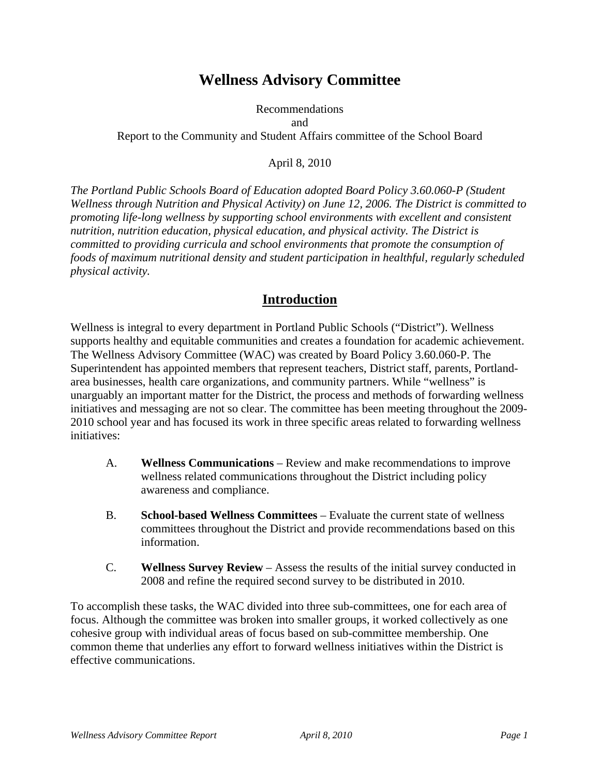# **Wellness Advisory Committee**

#### Recommendations and Report to the Community and Student Affairs committee of the School Board

April 8, 2010

*The Portland Public Schools Board of Education adopted Board Policy 3.60.060-P (Student Wellness through Nutrition and Physical Activity) on June 12, 2006. The District is committed to promoting life-long wellness by supporting school environments with excellent and consistent nutrition, nutrition education, physical education, and physical activity. The District is committed to providing curricula and school environments that promote the consumption of foods of maximum nutritional density and student participation in healthful, regularly scheduled physical activity.* 

### **Introduction**

Wellness is integral to every department in Portland Public Schools ("District"). Wellness supports healthy and equitable communities and creates a foundation for academic achievement. The Wellness Advisory Committee (WAC) was created by Board Policy 3.60.060-P. The Superintendent has appointed members that represent teachers, District staff, parents, Portlandarea businesses, health care organizations, and community partners. While "wellness" is unarguably an important matter for the District, the process and methods of forwarding wellness initiatives and messaging are not so clear. The committee has been meeting throughout the 2009- 2010 school year and has focused its work in three specific areas related to forwarding wellness initiatives:

- A. **Wellness Communications** Review and make recommendations to improve wellness related communications throughout the District including policy awareness and compliance.
- B. **School-based Wellness Committees** Evaluate the current state of wellness committees throughout the District and provide recommendations based on this information.
- C. **Wellness Survey Review** Assess the results of the initial survey conducted in 2008 and refine the required second survey to be distributed in 2010.

To accomplish these tasks, the WAC divided into three sub-committees, one for each area of focus. Although the committee was broken into smaller groups, it worked collectively as one cohesive group with individual areas of focus based on sub-committee membership. One common theme that underlies any effort to forward wellness initiatives within the District is effective communications.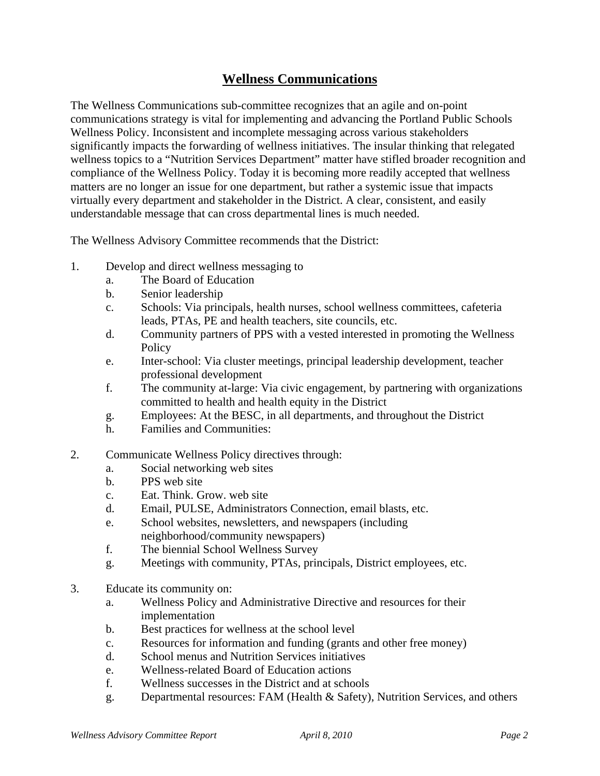# **Wellness Communications**

The Wellness Communications sub-committee recognizes that an agile and on-point communications strategy is vital for implementing and advancing the Portland Public Schools Wellness Policy. Inconsistent and incomplete messaging across various stakeholders significantly impacts the forwarding of wellness initiatives. The insular thinking that relegated wellness topics to a "Nutrition Services Department" matter have stifled broader recognition and compliance of the Wellness Policy. Today it is becoming more readily accepted that wellness matters are no longer an issue for one department, but rather a systemic issue that impacts virtually every department and stakeholder in the District. A clear, consistent, and easily understandable message that can cross departmental lines is much needed.

The Wellness Advisory Committee recommends that the District:

- 1. Develop and direct wellness messaging to
	- a. The Board of Education
	- b. Senior leadership
	- c. Schools: Via principals, health nurses, school wellness committees, cafeteria leads, PTAs, PE and health teachers, site councils, etc.
	- d. Community partners of PPS with a vested interested in promoting the Wellness **Policy**
	- e. Inter-school: Via cluster meetings, principal leadership development, teacher professional development
	- f. The community at-large: Via civic engagement, by partnering with organizations committed to health and health equity in the District
	- g. Employees: At the BESC, in all departments, and throughout the District
	- h. Families and Communities:
- 2. Communicate Wellness Policy directives through:
	- a. Social networking web sites
	- b. PPS web site
	- c. Eat. Think. Grow. web site
	- d. Email, PULSE, Administrators Connection, email blasts, etc.
	- e. School websites, newsletters, and newspapers (including neighborhood/community newspapers)
	- f. The biennial School Wellness Survey
	- g. Meetings with community, PTAs, principals, District employees, etc.
- 3. Educate its community on:
	- a. Wellness Policy and Administrative Directive and resources for their implementation
	- b. Best practices for wellness at the school level
	- c. Resources for information and funding (grants and other free money)
	- d. School menus and Nutrition Services initiatives
	- e. Wellness-related Board of Education actions
	- f. Wellness successes in the District and at schools
	- g. Departmental resources: FAM (Health & Safety), Nutrition Services, and others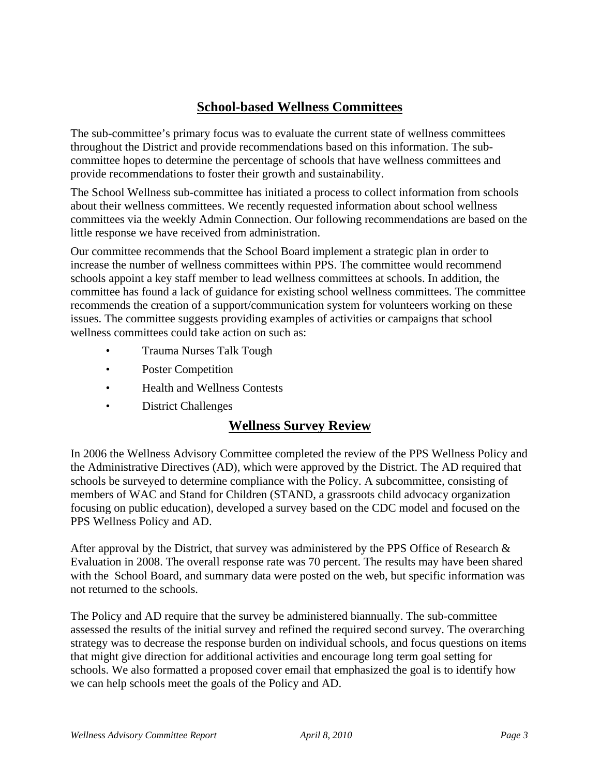# **School-based Wellness Committees**

The sub-committee's primary focus was to evaluate the current state of wellness committees throughout the District and provide recommendations based on this information. The subcommittee hopes to determine the percentage of schools that have wellness committees and provide recommendations to foster their growth and sustainability.

The School Wellness sub-committee has initiated a process to collect information from schools about their wellness committees. We recently requested information about school wellness committees via the weekly Admin Connection. Our following recommendations are based on the little response we have received from administration.

Our committee recommends that the School Board implement a strategic plan in order to increase the number of wellness committees within PPS. The committee would recommend schools appoint a key staff member to lead wellness committees at schools. In addition, the committee has found a lack of guidance for existing school wellness committees. The committee recommends the creation of a support/communication system for volunteers working on these issues. The committee suggests providing examples of activities or campaigns that school wellness committees could take action on such as:

- Trauma Nurses Talk Tough
- Poster Competition
- Health and Wellness Contests
- District Challenges

# **Wellness Survey Review**

In 2006 the Wellness Advisory Committee completed the review of the PPS Wellness Policy and the Administrative Directives (AD), which were approved by the District. The AD required that schools be surveyed to determine compliance with the Policy. A subcommittee, consisting of members of WAC and Stand for Children (STAND, a grassroots child advocacy organization focusing on public education), developed a survey based on the CDC model and focused on the PPS Wellness Policy and AD.

After approval by the District, that survey was administered by the PPS Office of Research & Evaluation in 2008. The overall response rate was 70 percent. The results may have been shared with the School Board, and summary data were posted on the web, but specific information was not returned to the schools.

The Policy and AD require that the survey be administered biannually. The sub-committee assessed the results of the initial survey and refined the required second survey. The overarching strategy was to decrease the response burden on individual schools, and focus questions on items that might give direction for additional activities and encourage long term goal setting for schools. We also formatted a proposed cover email that emphasized the goal is to identify how we can help schools meet the goals of the Policy and AD.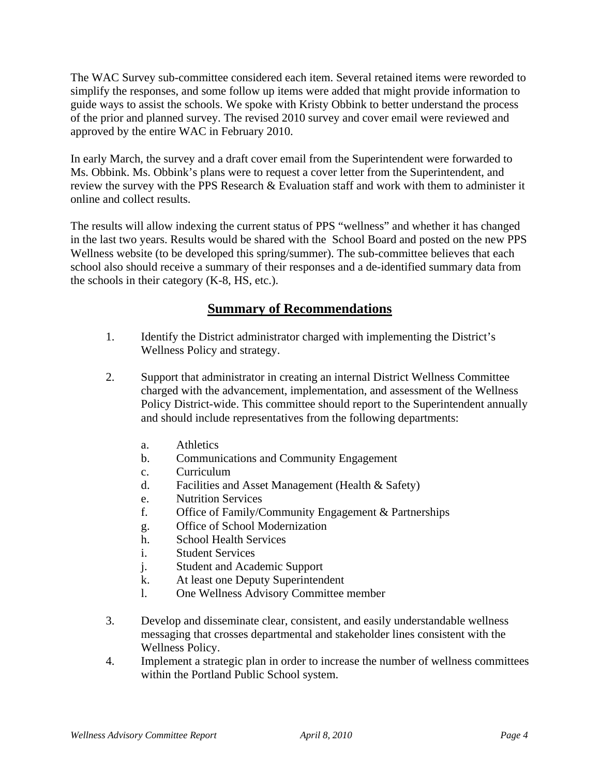The WAC Survey sub-committee considered each item. Several retained items were reworded to simplify the responses, and some follow up items were added that might provide information to guide ways to assist the schools. We spoke with Kristy Obbink to better understand the process of the prior and planned survey. The revised 2010 survey and cover email were reviewed and approved by the entire WAC in February 2010.

In early March, the survey and a draft cover email from the Superintendent were forwarded to Ms. Obbink. Ms. Obbink's plans were to request a cover letter from the Superintendent, and review the survey with the PPS Research & Evaluation staff and work with them to administer it online and collect results.

The results will allow indexing the current status of PPS "wellness" and whether it has changed in the last two years. Results would be shared with the School Board and posted on the new PPS Wellness website (to be developed this spring/summer). The sub-committee believes that each school also should receive a summary of their responses and a de-identified summary data from the schools in their category (K-8, HS, etc.).

### **Summary of Recommendations**

- 1. Identify the District administrator charged with implementing the District's Wellness Policy and strategy.
- 2. Support that administrator in creating an internal District Wellness Committee charged with the advancement, implementation, and assessment of the Wellness Policy District-wide. This committee should report to the Superintendent annually and should include representatives from the following departments:
	- a. Athletics
	- b. Communications and Community Engagement
	- c. Curriculum
	- d. Facilities and Asset Management (Health & Safety)
	- e. Nutrition Services
	- f. Office of Family/Community Engagement & Partnerships
	- g. Office of School Modernization
	- h. School Health Services
	- i. Student Services
	- j. Student and Academic Support
	- k. At least one Deputy Superintendent
	- l. One Wellness Advisory Committee member
- 3. Develop and disseminate clear, consistent, and easily understandable wellness messaging that crosses departmental and stakeholder lines consistent with the Wellness Policy.
- 4. Implement a strategic plan in order to increase the number of wellness committees within the Portland Public School system.